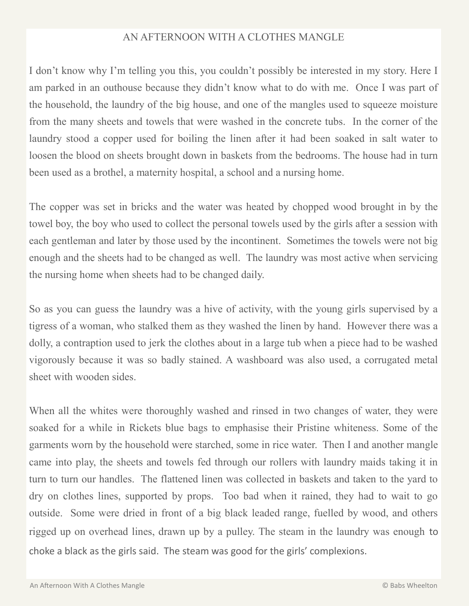## AN AFTERNOON WITH A CLOTHES MANGLE

I don't know why I'm telling you this, you couldn't possibly be interested in my story. Here I am parked in an outhouse because they didn't know what to do with me. Once I was part of the household, the laundry of the big house, and one of the mangles used to squeeze moisture from the many sheets and towels that were washed in the concrete tubs. In the corner of the laundry stood a copper used for boiling the linen after it had been soaked in salt water to loosen the blood on sheets brought down in baskets from the bedrooms. The house had in turn been used as a brothel, a maternity hospital, a school and a nursing home.

The copper was set in bricks and the water was heated by chopped wood brought in by the towel boy, the boy who used to collect the personal towels used by the girls after a session with each gentleman and later by those used by the incontinent. Sometimes the towels were not big enough and the sheets had to be changed as well. The laundry was most active when servicing the nursing home when sheets had to be changed daily.

So as you can guess the laundry was a hive of activity, with the young girls supervised by a tigress of a woman, who stalked them as they washed the linen by hand. However there was a dolly, a contraption used to jerk the clothes about in a large tub when a piece had to be washed vigorously because it was so badly stained. A washboard was also used, a corrugated metal sheet with wooden sides.

When all the whites were thoroughly washed and rinsed in two changes of water, they were soaked for a while in Rickets blue bags to emphasise their Pristine whiteness. Some of the garments worn by the household were starched, some in rice water. Then I and another mangle came into play, the sheets and towels fed through our rollers with laundry maids taking it in turn to turn our handles. The flattened linen was collected in baskets and taken to the yard to dry on clothes lines, supported by props. Too bad when it rained, they had to wait to go outside. Some were dried in front of a big black leaded range, fuelled by wood, and others rigged up on overhead lines, drawn up by a pulley. The steam in the laundry was enough to choke a black as the girls said. The steam was good for the girls' complexions.